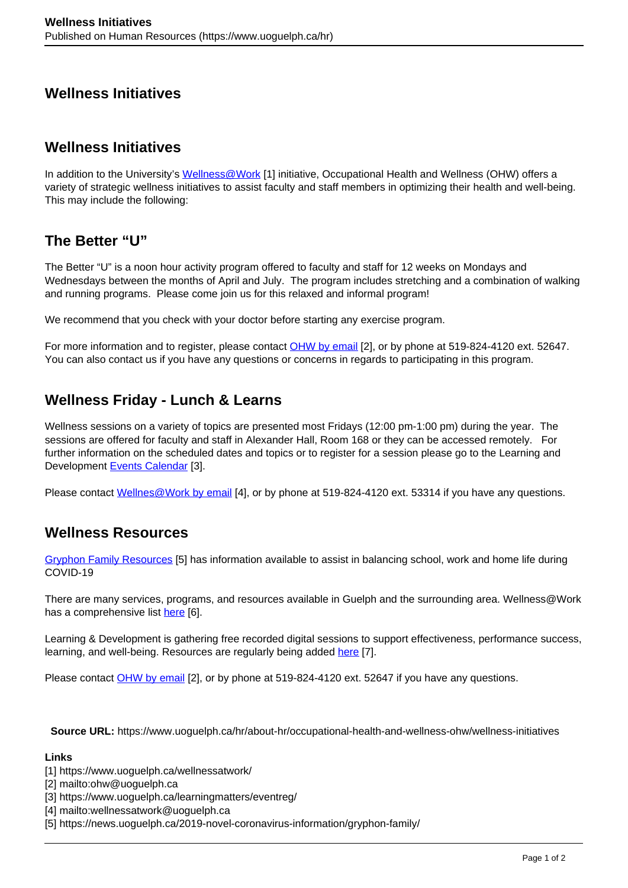# **Wellness Initiatives**

## **Wellness Initiatives**

In addition to the University's Wellness @Work [1] initiative, Occupational Health and Wellness (OHW) offers a variety of strategic wellness initiatives to assist faculty and staff members in optimizing their health and well-being. This may include the following:

# **The Better "U"**

The Better "U" is a noon hour activity program offered to faculty and staff for 12 weeks on Mondays and Wednesdays between the months of April and July. The program includes stretching and a combination of walking and running programs. Please come join us for this relaxed and informal program!

We recommend that you check with your doctor before starting any exercise program.

For more information and to register, please contact OHW by email [2], or by phone at 519-824-4120 ext. 52647. You can also contact us if you have any questions or concerns in regards to participating in this program.

## **Wellness Friday - Lunch & Learns**

Wellness sessions on a variety of topics are presented most Fridays (12:00 pm-1:00 pm) during the year. The sessions are offered for faculty and staff in Alexander Hall, Room 168 or they can be accessed remotely. For further information on the scheduled dates and topics or to register for a session please go to the Learning and Development Events Calendar [3].

Please contact Wellnes@Work by email [4], or by phone at 519-824-4120 ext. 53314 if you have any questions.

# **Wellness Resources**

Gryphon Family Resources [5] has information available to assist in balancing school, work and home life during COVID-19

There are many services, programs, and resources available in Guelph and the surrounding area. Wellness@Work has a comprehensive list here [6].

Learning & Development is gathering free recorded digital sessions to support effectiveness, performance success, learning, and well-being. Resources are regularly being added here [7].

Please contact OHW by email [2], or by phone at 519-824-4120 ext. 52647 if you have any questions.

**Source URL:** https://www.uoguelph.ca/hr/about-hr/occupational-health-and-wellness-ohw/wellness-initiatives

### **Links**

- [1] https://www.uoguelph.ca/wellnessatwork/
- [2] mailto:ohw@uoguelph.ca
- [3] https://www.uoguelph.ca/learningmatters/eventreg/
- [4] mailto:wellnessatwork@uoguelph.ca
- [5] https://news.uoguelph.ca/2019-novel-coronavirus-information/gryphon-family/